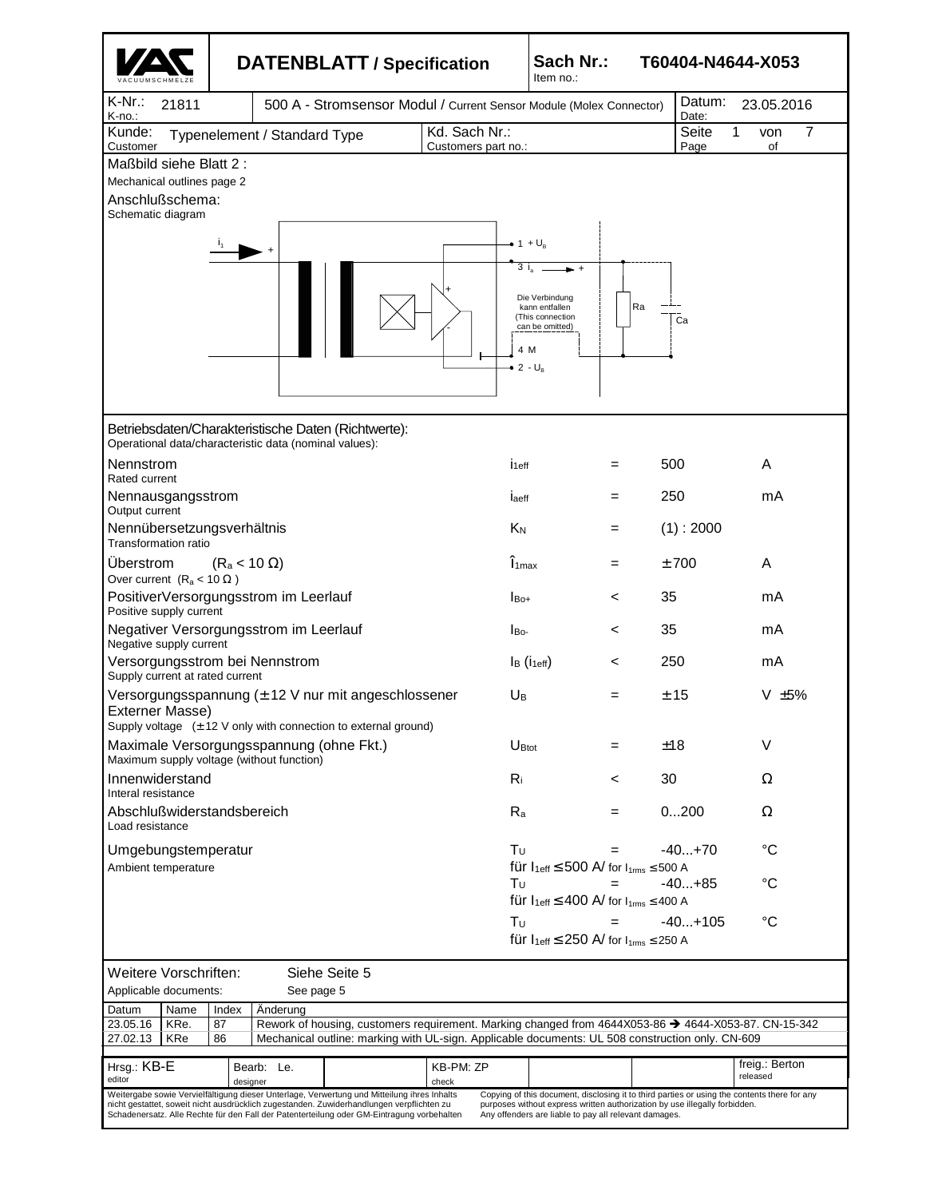|                                                                                                                                                                                                                                                                                                                                                                                                                                                                                                                               |                              |                                                                     | <b>DATENBLATT / Specification</b>               |                     | Sach Nr.:<br>T60404-N4644-X053<br>Item no.:                               |                                                                         |       |                 |                            |  |  |
|-------------------------------------------------------------------------------------------------------------------------------------------------------------------------------------------------------------------------------------------------------------------------------------------------------------------------------------------------------------------------------------------------------------------------------------------------------------------------------------------------------------------------------|------------------------------|---------------------------------------------------------------------|-------------------------------------------------|---------------------|---------------------------------------------------------------------------|-------------------------------------------------------------------------|-------|-----------------|----------------------------|--|--|
| $K-Nr$ .:<br>21811<br>K-no.:                                                                                                                                                                                                                                                                                                                                                                                                                                                                                                  |                              | 500 A - Stromsensor Modul / Current Sensor Module (Molex Connector) |                                                 |                     |                                                                           |                                                                         |       | Datum:<br>Date: | 23.05.2016                 |  |  |
| Kunde:<br>Customer                                                                                                                                                                                                                                                                                                                                                                                                                                                                                                            | Typenelement / Standard Type |                                                                     | Kd. Sach Nr.:<br>Seite<br>7<br>1<br>von<br>Page |                     |                                                                           |                                                                         | of    |                 |                            |  |  |
| Maßbild siehe Blatt 2:                                                                                                                                                                                                                                                                                                                                                                                                                                                                                                        |                              |                                                                     |                                                 | Customers part no.: |                                                                           |                                                                         |       |                 |                            |  |  |
| Mechanical outlines page 2<br>Anschlußschema:                                                                                                                                                                                                                                                                                                                                                                                                                                                                                 |                              |                                                                     |                                                 |                     |                                                                           |                                                                         |       |                 |                            |  |  |
| Schematic diagram                                                                                                                                                                                                                                                                                                                                                                                                                                                                                                             |                              |                                                                     |                                                 |                     |                                                                           |                                                                         |       |                 |                            |  |  |
|                                                                                                                                                                                                                                                                                                                                                                                                                                                                                                                               |                              |                                                                     |                                                 |                     | $\bullet$ 1 + $U_{\text{R}}$<br>3i<br>4 M<br>$\bullet$ 2 - U <sub>B</sub> | Die Verbindung<br>kann entfallen<br>(This connection<br>can be omitted) | Ra    | Ca              |                            |  |  |
| Betriebsdaten/Charakteristische Daten (Richtwerte):<br>Operational data/characteristic data (nominal values):                                                                                                                                                                                                                                                                                                                                                                                                                 |                              |                                                                     |                                                 |                     |                                                                           |                                                                         |       |                 |                            |  |  |
| Nennstrom<br>Rated current                                                                                                                                                                                                                                                                                                                                                                                                                                                                                                    |                              |                                                                     |                                                 |                     | İ <sub>1eff</sub>                                                         |                                                                         | =     | 500             | A                          |  |  |
| Nennausgangsstrom<br>Output current                                                                                                                                                                                                                                                                                                                                                                                                                                                                                           |                              |                                                                     |                                                 |                     | laeff                                                                     |                                                                         | =     | 250             | mA                         |  |  |
| Nennübersetzungsverhältnis<br><b>Transformation ratio</b>                                                                                                                                                                                                                                                                                                                                                                                                                                                                     |                              |                                                                     |                                                 |                     | K <sub>N</sub>                                                            |                                                                         | Ξ     | (1): 2000       |                            |  |  |
| Uberstrom<br>Over current $(R_a < 10 \Omega)$                                                                                                                                                                                                                                                                                                                                                                                                                                                                                 | $(R_a < 10 \Omega)$          |                                                                     |                                                 |                     | $\hat{\mathbf{l}}_{1\text{max}}$                                          |                                                                         | Ξ     | ±700            | A                          |  |  |
| PositiverVersorgungsstrom im Leerlauf<br>Positive supply current                                                                                                                                                                                                                                                                                                                                                                                                                                                              |                              |                                                                     |                                                 |                     | $I_{\text{Bo+}}$                                                          |                                                                         | <     | 35              | mA                         |  |  |
| Negativer Versorgungsstrom im Leerlauf<br>Negative supply current                                                                                                                                                                                                                                                                                                                                                                                                                                                             |                              |                                                                     |                                                 |                     | $I_{\text{Bo-}}$                                                          |                                                                         | <     | 35              | mA                         |  |  |
| Versorgungsstrom bei Nennstrom<br>Supply current at rated current                                                                                                                                                                                                                                                                                                                                                                                                                                                             |                              |                                                                     |                                                 |                     | $I_B$ ( $I_{1eff}$ )                                                      |                                                                         | <     | 250             | mA                         |  |  |
| Versorgungsspannung (± 12 V nur mit angeschlossener<br>Externer Masse)<br>Supply voltage $(\pm 12 \text{ V}$ only with connection to external ground)                                                                                                                                                                                                                                                                                                                                                                         |                              |                                                                     |                                                 |                     |                                                                           |                                                                         | =     | ± 15            | V $\pm 5\%$                |  |  |
| Maximale Versorgungsspannung (ohne Fkt.)<br>Maximum supply voltage (without function)                                                                                                                                                                                                                                                                                                                                                                                                                                         |                              |                                                                     |                                                 |                     |                                                                           | $U_{\text{Btot}}$                                                       | Ξ     | ±18             | V                          |  |  |
| Innenwiderstand                                                                                                                                                                                                                                                                                                                                                                                                                                                                                                               |                              |                                                                     |                                                 |                     | $R_i$                                                                     |                                                                         | $\,<$ | 30              | Ω                          |  |  |
| Interal resistance<br>Abschlußwiderstandsbereich<br>Load resistance                                                                                                                                                                                                                                                                                                                                                                                                                                                           |                              |                                                                     |                                                 |                     | $R_{a}$                                                                   |                                                                         | =     | 0200            | Ω                          |  |  |
| Umgebungstemperatur<br>Ambient temperature                                                                                                                                                                                                                                                                                                                                                                                                                                                                                    |                              |                                                                     |                                                 |                     | Tυ                                                                        | für $I_{1eff} \le 500$ A/ for $I_{1rms} \le 500$ A                      | =     | $-40+70$        | °C                         |  |  |
|                                                                                                                                                                                                                                                                                                                                                                                                                                                                                                                               |                              |                                                                     |                                                 |                     | Τυ                                                                        | für $I_{1eff} \leq 400$ A/ for $I_{1rms} \leq 400$ A                    | =     | $-40+85$        | °C                         |  |  |
|                                                                                                                                                                                                                                                                                                                                                                                                                                                                                                                               |                              |                                                                     |                                                 |                     | Tυ                                                                        | für $I_{1eff} \leq 250$ A/ for $I_{1rms} \leq 250$ A                    | =     | $-40+105$       | °C                         |  |  |
| Weitere Vorschriften:<br>Siehe Seite 5<br>Applicable documents:<br>See page 5                                                                                                                                                                                                                                                                                                                                                                                                                                                 |                              |                                                                     |                                                 |                     |                                                                           |                                                                         |       |                 |                            |  |  |
| Name<br>Datum                                                                                                                                                                                                                                                                                                                                                                                                                                                                                                                 | Index                        | Änderung                                                            |                                                 |                     |                                                                           |                                                                         |       |                 |                            |  |  |
| 87<br>Rework of housing, customers requirement. Marking changed from 4644X053-86 → 4644-X053-87. CN-15-342<br>23.05.16<br>KRe.<br>86<br>Mechanical outline: marking with UL-sign. Applicable documents: UL 508 construction only. CN-609<br>27.02.13<br>KRe                                                                                                                                                                                                                                                                   |                              |                                                                     |                                                 |                     |                                                                           |                                                                         |       |                 |                            |  |  |
| Hrsg.: KB-E<br>KB-PM: ZP<br>Bearb: Le.<br>editor<br>check<br>designer                                                                                                                                                                                                                                                                                                                                                                                                                                                         |                              |                                                                     |                                                 |                     |                                                                           |                                                                         |       |                 | freig.: Berton<br>released |  |  |
| Weitergabe sowie Vervielfältigung dieser Unterlage, Verwertung und Mitteilung ihres Inhalts<br>Copying of this document, disclosing it to third parties or using the contents there for any<br>nicht gestattet, soweit nicht ausdrücklich zugestanden. Zuwiderhandlungen verpflichten zu<br>purposes without express written authorization by use illegally forbidden.<br>Schadenersatz. Alle Rechte für den Fall der Patenterteilung oder GM-Eintragung vorbehalten<br>Any offenders are liable to pay all relevant damages. |                              |                                                                     |                                                 |                     |                                                                           |                                                                         |       |                 |                            |  |  |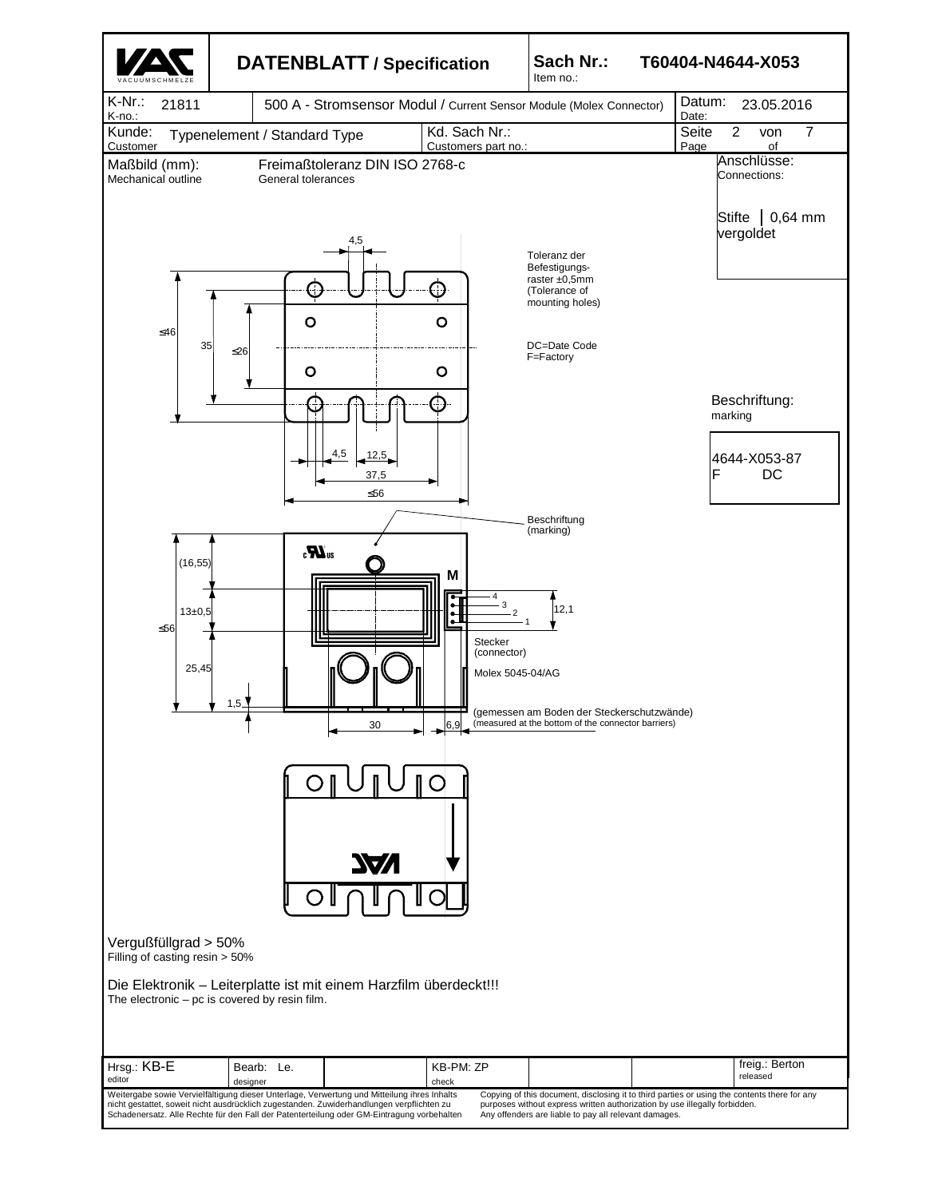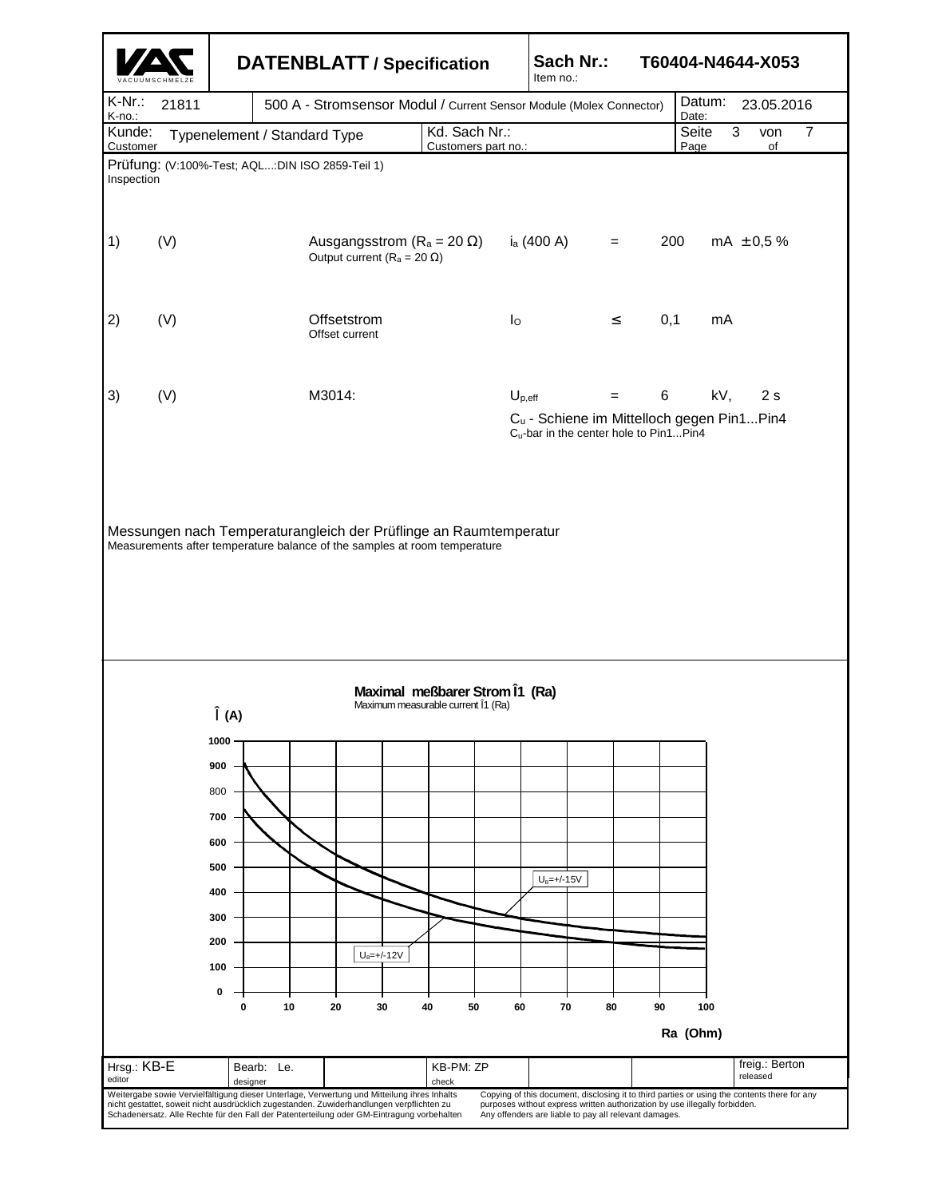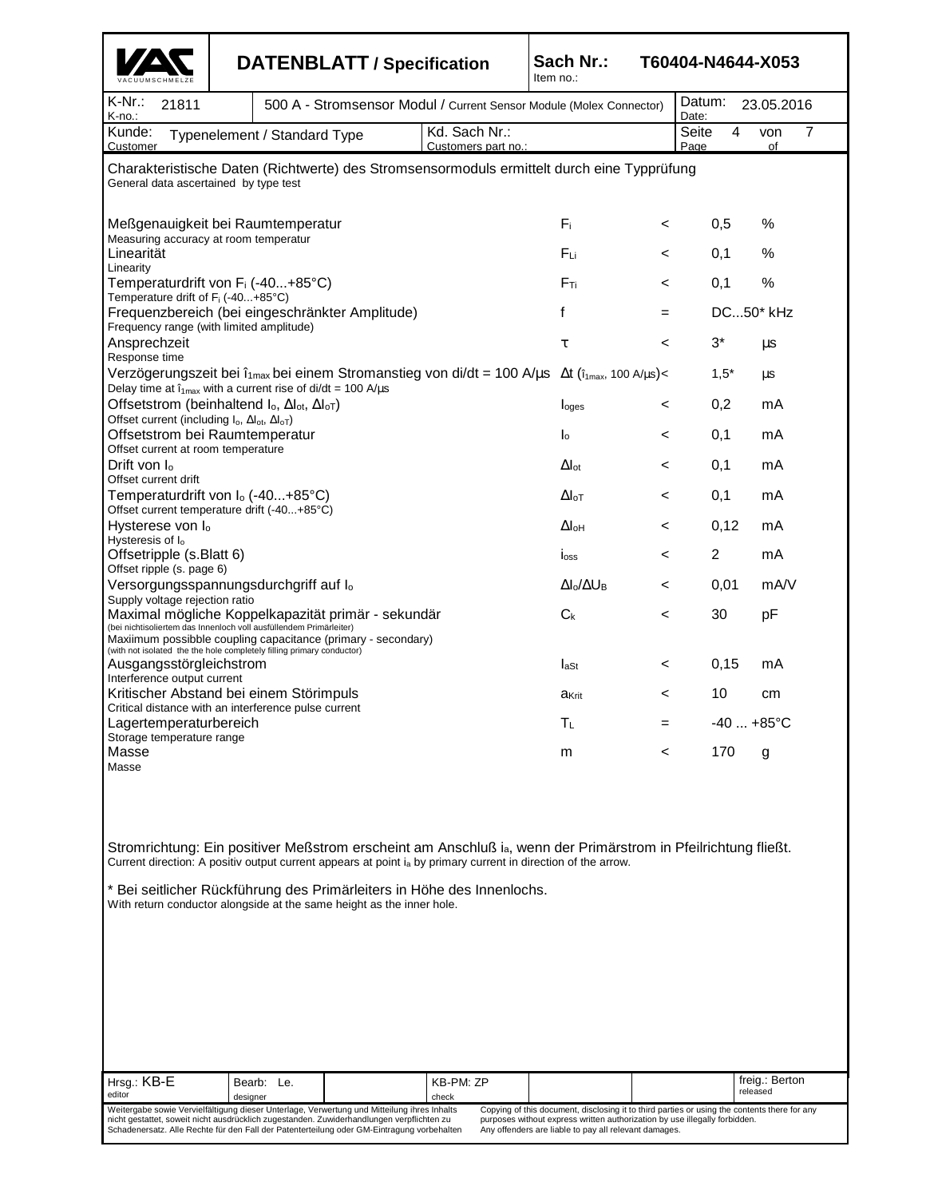|                                                                                                                                                                                                                                                                                                                                                                                               |                                                                                                                                                                                                                                                                                                                                                                                                                                                                                                                               |                                                                     | <b>DATENBLATT / Specification</b> | Sach Nr.:<br>Item no.: |                                           | T60404-N4644-X053          |                               |             |  |  |
|-----------------------------------------------------------------------------------------------------------------------------------------------------------------------------------------------------------------------------------------------------------------------------------------------------------------------------------------------------------------------------------------------|-------------------------------------------------------------------------------------------------------------------------------------------------------------------------------------------------------------------------------------------------------------------------------------------------------------------------------------------------------------------------------------------------------------------------------------------------------------------------------------------------------------------------------|---------------------------------------------------------------------|-----------------------------------|------------------------|-------------------------------------------|----------------------------|-------------------------------|-------------|--|--|
| K-Nr.:<br>21811<br>K-no.:                                                                                                                                                                                                                                                                                                                                                                     |                                                                                                                                                                                                                                                                                                                                                                                                                                                                                                                               | 500 A - Stromsensor Modul / Current Sensor Module (Molex Connector) |                                   |                        |                                           |                            | Datum:<br>23.05.2016<br>Date: |             |  |  |
| Kunde:<br>Customer                                                                                                                                                                                                                                                                                                                                                                            |                                                                                                                                                                                                                                                                                                                                                                                                                                                                                                                               | Typenelement / Standard Type                                        |                                   |                        | Seite<br>4<br>Page                        | 7<br>von<br>of             |                               |             |  |  |
| Customers part no.:<br>Charakteristische Daten (Richtwerte) des Stromsensormoduls ermittelt durch eine Typprüfung<br>General data ascertained by type test                                                                                                                                                                                                                                    |                                                                                                                                                                                                                                                                                                                                                                                                                                                                                                                               |                                                                     |                                   |                        |                                           |                            |                               |             |  |  |
| Meßgenauigkeit bei Raumtemperatur<br>Measuring accuracy at room temperatur                                                                                                                                                                                                                                                                                                                    |                                                                                                                                                                                                                                                                                                                                                                                                                                                                                                                               |                                                                     | Fi.                               | $\,<\,$                | 0,5                                       | %                          |                               |             |  |  |
| Linearität<br>Linearity                                                                                                                                                                                                                                                                                                                                                                       |                                                                                                                                                                                                                                                                                                                                                                                                                                                                                                                               |                                                                     |                                   | Fu                     | <                                         | 0,1                        | %                             |             |  |  |
| Temperaturdrift von F <sub>i</sub> (-40+85°C)<br>Temperature drift of F <sub>i</sub> (-40+85°C)                                                                                                                                                                                                                                                                                               |                                                                                                                                                                                                                                                                                                                                                                                                                                                                                                                               |                                                                     |                                   | $F_{Ti}$               | $\,<\,$                                   | 0,1                        | %                             |             |  |  |
|                                                                                                                                                                                                                                                                                                                                                                                               | f<br>Frequenzbereich (bei eingeschränkter Amplitude)<br>Frequency range (with limited amplitude)                                                                                                                                                                                                                                                                                                                                                                                                                              |                                                                     |                                   |                        |                                           |                            |                               | DC50* kHz   |  |  |
| Ansprechzeit<br>Response time                                                                                                                                                                                                                                                                                                                                                                 | τ                                                                                                                                                                                                                                                                                                                                                                                                                                                                                                                             |                                                                     |                                   |                        |                                           |                            |                               | μs          |  |  |
| Verzögerungszeit bei $\hat{\mathbf{I}}_{\text{max}}$ bei einem Stromanstieg von di/dt = 100 A/ $\mu$ s $\Delta t$ ( $\hat{\mathbf{I}}_{\text{max}}$ , 100 A/ $\mu$ s)<<br>Delay time at $i_{1max}$ with a current rise of di/dt = 100 A/ $\mu$ s                                                                                                                                              |                                                                                                                                                                                                                                                                                                                                                                                                                                                                                                                               |                                                                     | $1,5*$                            | μs                     |                                           |                            |                               |             |  |  |
| Offsetstrom (beinhaltend $I_0$ , $\Delta I_{ot}$ , $\Delta I_{oT}$ )<br>Offset current (including I <sub>o</sub> , Al <sub>ot</sub> , Al <sub>oT</sub> )                                                                                                                                                                                                                                      |                                                                                                                                                                                                                                                                                                                                                                                                                                                                                                                               |                                                                     |                                   |                        | I <sub>oges</sub>                         | $\,<$                      | 0,2                           | mA          |  |  |
| Offsetstrom bei Raumtemperatur<br>Offset current at room temperature                                                                                                                                                                                                                                                                                                                          |                                                                                                                                                                                                                                                                                                                                                                                                                                                                                                                               |                                                                     |                                   |                        | $\mathsf{I}_\mathsf{0}$                   | $\,<\,$                    | 0,1                           | mA          |  |  |
| Drift von $I_0$<br>Offset current drift                                                                                                                                                                                                                                                                                                                                                       |                                                                                                                                                                                                                                                                                                                                                                                                                                                                                                                               |                                                                     |                                   |                        | $\Delta I_{\text{ot}}$                    | $\,<\,$                    | 0,1                           | mA          |  |  |
| Temperaturdrift von I <sub>o</sub> (-40+85°C)                                                                                                                                                                                                                                                                                                                                                 |                                                                                                                                                                                                                                                                                                                                                                                                                                                                                                                               |                                                                     |                                   |                        | $\Delta$ <sub>l</sub> <sub>o</sub> $\tau$ | $\,<\,$                    | 0,1                           | mA          |  |  |
| Offset current temperature drift (-40+85°C)<br>Hysterese von lo                                                                                                                                                                                                                                                                                                                               |                                                                                                                                                                                                                                                                                                                                                                                                                                                                                                                               |                                                                     |                                   |                        | $\Delta I_{\rm OH}$                       | $\,<\,$                    | 0,12                          | mA          |  |  |
| Hysteresis of I <sub>o</sub><br>Offsetripple (s.Blatt 6)                                                                                                                                                                                                                                                                                                                                      |                                                                                                                                                                                                                                                                                                                                                                                                                                                                                                                               |                                                                     |                                   |                        | loss                                      | $\,<\,$                    | $\overline{c}$                | mA          |  |  |
| Offset ripple (s. page 6)<br>Versorgungsspannungsdurchgriff auf I <sub>o</sub>                                                                                                                                                                                                                                                                                                                |                                                                                                                                                                                                                                                                                                                                                                                                                                                                                                                               |                                                                     |                                   |                        | $\Delta I_0/\Delta U_B$                   | $\,<\,$                    | 0,01                          | mA/V        |  |  |
| Supply voltage rejection ratio<br>Maximal mögliche Koppelkapazität primär - sekundär<br>(bei nichtisoliertem das Innenloch voll ausfüllendem Primärleiter)<br>Maxiimum possibble coupling capacitance (primary - secondary)<br>(with not isolated the the hole completely filling primary conductor)                                                                                          |                                                                                                                                                                                                                                                                                                                                                                                                                                                                                                                               |                                                                     |                                   |                        | $C_{k}$                                   | <                          | 30                            | рF          |  |  |
| Ausgangsstörgleichstrom<br>Interference output current                                                                                                                                                                                                                                                                                                                                        |                                                                                                                                                                                                                                                                                                                                                                                                                                                                                                                               |                                                                     |                                   |                        | $I_{\rm ast}$                             | $\,<\,$                    | 0,15                          | mA          |  |  |
| Kritischer Abstand bei einem Störimpuls                                                                                                                                                                                                                                                                                                                                                       |                                                                                                                                                                                                                                                                                                                                                                                                                                                                                                                               |                                                                     |                                   |                        | akrit                                     | $\,<$                      | 10                            | cm          |  |  |
|                                                                                                                                                                                                                                                                                                                                                                                               | Critical distance with an interference pulse current<br>Lagertemperaturbereich                                                                                                                                                                                                                                                                                                                                                                                                                                                |                                                                     |                                   |                        |                                           |                            |                               | $-40+85$ °C |  |  |
| Masse<br>Masse                                                                                                                                                                                                                                                                                                                                                                                | Storage temperature range                                                                                                                                                                                                                                                                                                                                                                                                                                                                                                     |                                                                     |                                   |                        |                                           |                            | 170                           | g           |  |  |
| Stromrichtung: Ein positiver Meßstrom erscheint am Anschluß ia, wenn der Primärstrom in Pfeilrichtung fließt.<br>Current direction: A positiv output current appears at point i <sub>a</sub> by primary current in direction of the arrow.<br>* Bei seitlicher Rückführung des Primärleiters in Höhe des Innenlochs.<br>With return conductor alongside at the same height as the inner hole. |                                                                                                                                                                                                                                                                                                                                                                                                                                                                                                                               |                                                                     |                                   |                        |                                           |                            |                               |             |  |  |
| Hrsg.: KB-E<br>editor                                                                                                                                                                                                                                                                                                                                                                         | Bearb: Le.<br>designer                                                                                                                                                                                                                                                                                                                                                                                                                                                                                                        |                                                                     |                                   |                        |                                           | freig.: Berton<br>released |                               |             |  |  |
|                                                                                                                                                                                                                                                                                                                                                                                               | Weitergabe sowie Vervielfältigung dieser Unterlage, Verwertung und Mitteilung ihres Inhalts<br>Copying of this document, disclosing it to third parties or using the contents there for any<br>nicht gestattet, soweit nicht ausdrücklich zugestanden. Zuwiderhandlungen verpflichten zu<br>purposes without express written authorization by use illegally forbidden.<br>Schadenersatz. Alle Rechte für den Fall der Patenterteilung oder GM-Eintragung vorbehalten<br>Any offenders are liable to pay all relevant damages. |                                                                     |                                   |                        |                                           |                            |                               |             |  |  |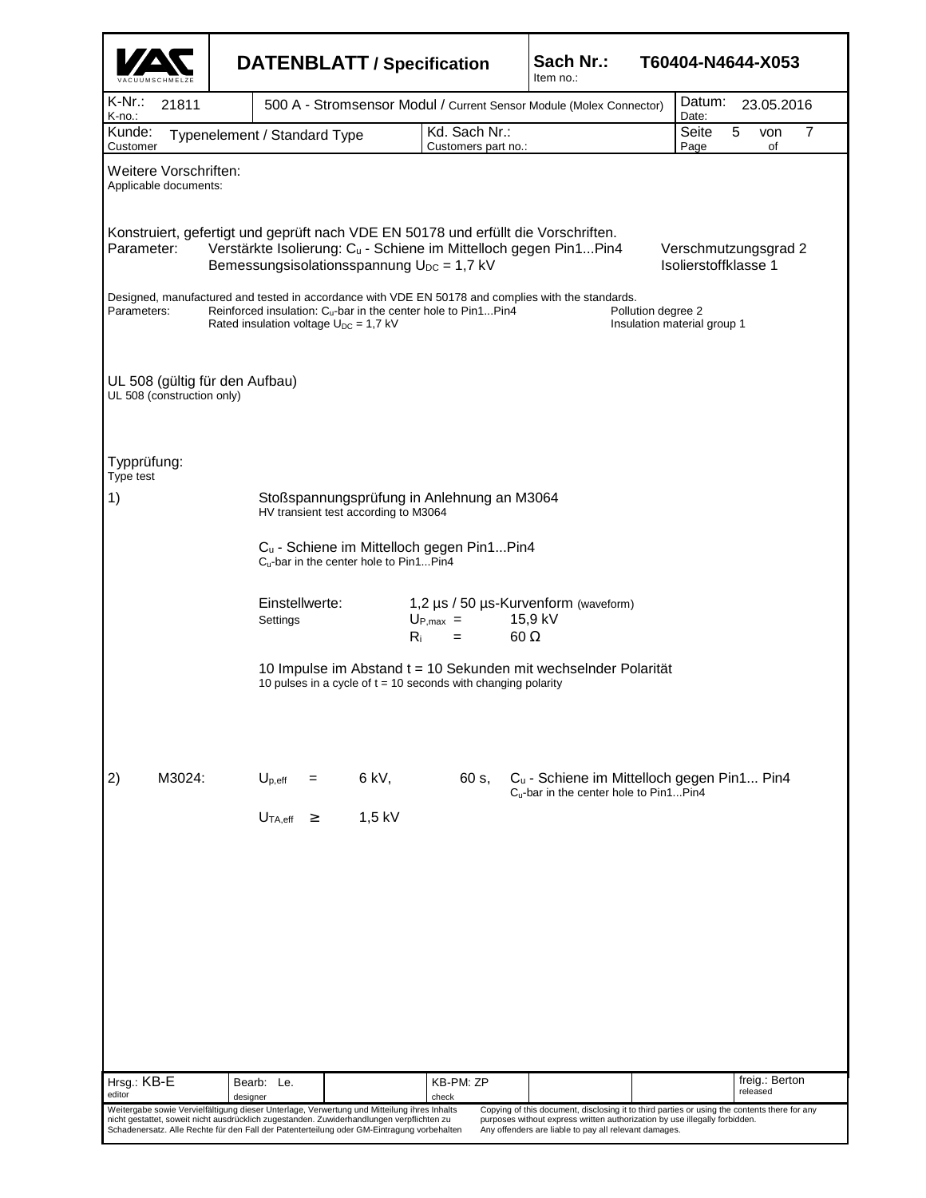|                                                              |                                                                                    | <b>DATENBLATT / Specification</b>                                                                                                                                                                                                                                                      |                                                                                                                                                        | Sach Nr.:<br>T60404-N4644-X053<br>Item no.:                                                                                                                                                                                         |                                              |  |  |  |  |  |  |
|--------------------------------------------------------------|------------------------------------------------------------------------------------|----------------------------------------------------------------------------------------------------------------------------------------------------------------------------------------------------------------------------------------------------------------------------------------|--------------------------------------------------------------------------------------------------------------------------------------------------------|-------------------------------------------------------------------------------------------------------------------------------------------------------------------------------------------------------------------------------------|----------------------------------------------|--|--|--|--|--|--|
| K-Nr∴<br>21811<br>K-no.:                                     |                                                                                    | 500 A - Stromsensor Modul / Current Sensor Module (Molex Connector)                                                                                                                                                                                                                    | Datum:<br>23.05.2016<br>Date:                                                                                                                          |                                                                                                                                                                                                                                     |                                              |  |  |  |  |  |  |
| Kunde:<br>Customer                                           | Typenelement / Standard Type                                                       |                                                                                                                                                                                                                                                                                        | Kd. Sach Nr.:<br>Customers part no.:                                                                                                                   |                                                                                                                                                                                                                                     | Seite<br>5<br>7<br>von<br>Page<br>of         |  |  |  |  |  |  |
| Weitere Vorschriften:<br>Applicable documents:               |                                                                                    |                                                                                                                                                                                                                                                                                        |                                                                                                                                                        |                                                                                                                                                                                                                                     |                                              |  |  |  |  |  |  |
| Parameter:                                                   |                                                                                    | Bemessungsisolationsspannung U <sub>DC</sub> = 1,7 kV                                                                                                                                                                                                                                  | Konstruiert, gefertigt und geprüft nach VDE EN 50178 und erfüllt die Vorschriften.<br>Verstärkte Isolierung: Cu - Schiene im Mittelloch gegen Pin1Pin4 |                                                                                                                                                                                                                                     | Verschmutzungsgrad 2<br>Isolierstoffklasse 1 |  |  |  |  |  |  |
| Parameters:                                                  |                                                                                    | Reinforced insulation: C <sub>u</sub> -bar in the center hole to Pin1Pin4<br>Rated insulation voltage $U_{DC} = 1.7$ kV                                                                                                                                                                | Designed, manufactured and tested in accordance with VDE EN 50178 and complies with the standards.                                                     | Pollution degree 2                                                                                                                                                                                                                  | Insulation material group 1                  |  |  |  |  |  |  |
| UL 508 (gültig für den Aufbau)<br>UL 508 (construction only) |                                                                                    |                                                                                                                                                                                                                                                                                        |                                                                                                                                                        |                                                                                                                                                                                                                                     |                                              |  |  |  |  |  |  |
| Typprüfung:<br>Type test                                     |                                                                                    |                                                                                                                                                                                                                                                                                        |                                                                                                                                                        |                                                                                                                                                                                                                                     |                                              |  |  |  |  |  |  |
| 1)                                                           | Stoßspannungsprüfung in Anlehnung an M3064<br>HV transient test according to M3064 |                                                                                                                                                                                                                                                                                        |                                                                                                                                                        |                                                                                                                                                                                                                                     |                                              |  |  |  |  |  |  |
|                                                              |                                                                                    | Cu - Schiene im Mittelloch gegen Pin1Pin4<br>C <sub>u</sub> -bar in the center hole to Pin1Pin4                                                                                                                                                                                        |                                                                                                                                                        |                                                                                                                                                                                                                                     |                                              |  |  |  |  |  |  |
|                                                              | Settings                                                                           | Einstellwerte:                                                                                                                                                                                                                                                                         | $U_{P,max}$ =<br>$R_i$<br>$=$                                                                                                                          | 1,2 µs / 50 µs-Kurvenform (waveform)<br>15,9 kV<br>$60 \Omega$                                                                                                                                                                      |                                              |  |  |  |  |  |  |
|                                                              |                                                                                    | 10 Impulse im Abstand t = 10 Sekunden mit wechselnder Polarität<br>10 pulses in a cycle of $t = 10$ seconds with changing polarity                                                                                                                                                     |                                                                                                                                                        |                                                                                                                                                                                                                                     |                                              |  |  |  |  |  |  |
| 2)<br>M3024:                                                 | $U_{p,eff}$ =                                                                      | 6 kV,                                                                                                                                                                                                                                                                                  | 60 s,                                                                                                                                                  | C <sub>u</sub> - Schiene im Mittelloch gegen Pin1 Pin4                                                                                                                                                                              |                                              |  |  |  |  |  |  |
|                                                              | $U_{TA,eff}$ $\geq$                                                                | $1,5$ kV                                                                                                                                                                                                                                                                               |                                                                                                                                                        | C <sub>u</sub> -bar in the center hole to Pin1Pin4                                                                                                                                                                                  |                                              |  |  |  |  |  |  |
|                                                              |                                                                                    |                                                                                                                                                                                                                                                                                        |                                                                                                                                                        |                                                                                                                                                                                                                                     |                                              |  |  |  |  |  |  |
|                                                              |                                                                                    |                                                                                                                                                                                                                                                                                        |                                                                                                                                                        |                                                                                                                                                                                                                                     |                                              |  |  |  |  |  |  |
|                                                              |                                                                                    |                                                                                                                                                                                                                                                                                        |                                                                                                                                                        |                                                                                                                                                                                                                                     |                                              |  |  |  |  |  |  |
|                                                              |                                                                                    |                                                                                                                                                                                                                                                                                        |                                                                                                                                                        |                                                                                                                                                                                                                                     |                                              |  |  |  |  |  |  |
|                                                              |                                                                                    |                                                                                                                                                                                                                                                                                        |                                                                                                                                                        |                                                                                                                                                                                                                                     |                                              |  |  |  |  |  |  |
|                                                              |                                                                                    |                                                                                                                                                                                                                                                                                        |                                                                                                                                                        |                                                                                                                                                                                                                                     |                                              |  |  |  |  |  |  |
| Hrsg.: KB-E<br>editor                                        | Bearb: Le.<br>designer                                                             |                                                                                                                                                                                                                                                                                        | KB-PM: ZP<br>check                                                                                                                                     |                                                                                                                                                                                                                                     | freig.: Berton<br>released                   |  |  |  |  |  |  |
|                                                              |                                                                                    | Weitergabe sowie Vervielfältigung dieser Unterlage, Verwertung und Mitteilung ihres Inhalts<br>nicht gestattet, soweit nicht ausdrücklich zugestanden. Zuwiderhandlungen verpflichten zu<br>Schadenersatz. Alle Rechte für den Fall der Patenterteilung oder GM-Eintragung vorbehalten |                                                                                                                                                        | Copying of this document, disclosing it to third parties or using the contents there for any<br>purposes without express written authorization by use illegally forbidden.<br>Any offenders are liable to pay all relevant damages. |                                              |  |  |  |  |  |  |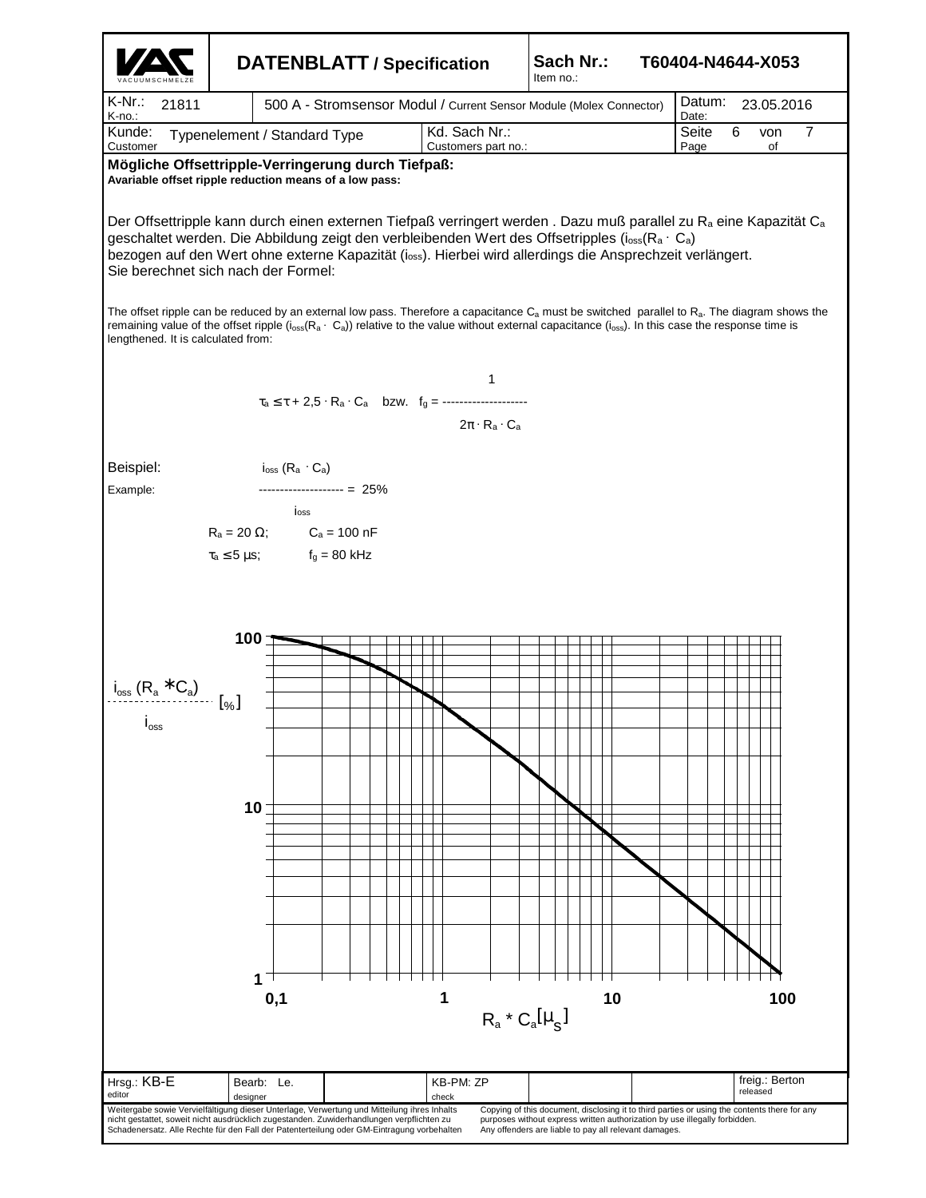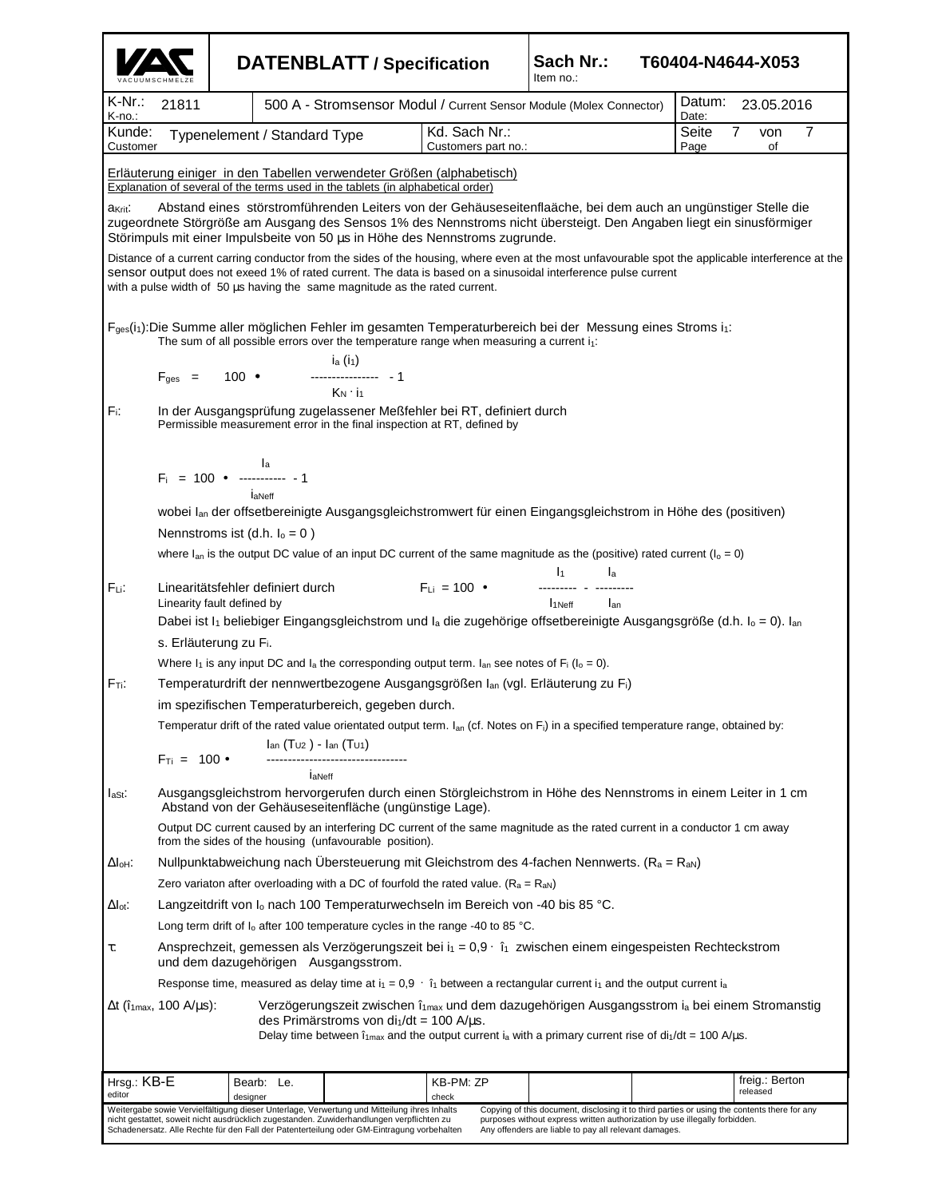|                     |                                                                                                                                                                                  |          |                                                                              | <b>DATENBLATT / Specification</b>                                                                                                                                                                                                                                                      |                                                                                                              | Sach Nr.:<br>T60404-N4644-X053<br>Item no.:                                                                                                                                                                                                                          |                |                |  |  |  |
|---------------------|----------------------------------------------------------------------------------------------------------------------------------------------------------------------------------|----------|------------------------------------------------------------------------------|----------------------------------------------------------------------------------------------------------------------------------------------------------------------------------------------------------------------------------------------------------------------------------------|--------------------------------------------------------------------------------------------------------------|----------------------------------------------------------------------------------------------------------------------------------------------------------------------------------------------------------------------------------------------------------------------|----------------|----------------|--|--|--|
| K-Nr.:<br>K-no.:    | 21811                                                                                                                                                                            |          |                                                                              | 500 A - Stromsensor Modul / Current Sensor Module (Molex Connector)                                                                                                                                                                                                                    | Datum:<br>23.05.2016<br>Date:                                                                                |                                                                                                                                                                                                                                                                      |                |                |  |  |  |
| Kunde:<br>Customer  |                                                                                                                                                                                  |          | Typenelement / Standard Type                                                 |                                                                                                                                                                                                                                                                                        | Kd. Sach Nr.:<br>Customers part no.:                                                                         | Seite<br>Page                                                                                                                                                                                                                                                        | 7<br>von<br>of | 7              |  |  |  |
|                     |                                                                                                                                                                                  |          |                                                                              | Explanation of several of the terms used in the tablets (in alphabetical order)                                                                                                                                                                                                        | Erläuterung einiger in den Tabellen verwendeter Größen (alphabetisch)                                        |                                                                                                                                                                                                                                                                      |                |                |  |  |  |
| a <sub>Krit</sub> : |                                                                                                                                                                                  |          |                                                                              |                                                                                                                                                                                                                                                                                        | Störimpuls mit einer Impulsbeite von 50 us in Höhe des Nennstroms zugrunde.                                  | Abstand eines störstromführenden Leiters von der Gehäuseseitenflaäche, bei dem auch an ungünstiger Stelle die<br>zugeordnete Störgröße am Ausgang des Sensos 1% des Nennstroms nicht übersteigt. Den Angaben liegt ein sinusförmiger                                 |                |                |  |  |  |
|                     |                                                                                                                                                                                  |          |                                                                              | with a pulse width of 50 us having the same magnitude as the rated current.                                                                                                                                                                                                            |                                                                                                              | Distance of a current carring conductor from the sides of the housing, where even at the most unfavourable spot the applicable interference at the<br>sensor output does not exeed 1% of rated current. The data is based on a sinusoidal interference pulse current |                |                |  |  |  |
|                     |                                                                                                                                                                                  |          |                                                                              | $i_a(i_1)$                                                                                                                                                                                                                                                                             | The sum of all possible errors over the temperature range when measuring a current $i_1$ :                   | F <sub>ges</sub> (i <sub>1</sub> ):Die Summe aller möglichen Fehler im gesamten Temperaturbereich bei der Messung eines Stroms i <sub>1</sub> :                                                                                                                      |                |                |  |  |  |
|                     | $F_{\text{ges}} = 100$ $\bullet$<br>$K_N \cdot i_1$                                                                                                                              |          |                                                                              |                                                                                                                                                                                                                                                                                        |                                                                                                              |                                                                                                                                                                                                                                                                      |                |                |  |  |  |
|                     | Fr.<br>In der Ausgangsprüfung zugelassener Meßfehler bei RT, definiert durch<br>Permissible measurement error in the final inspection at RT, defined by                          |          |                                                                              |                                                                                                                                                                                                                                                                                        |                                                                                                              |                                                                                                                                                                                                                                                                      |                |                |  |  |  |
|                     |                                                                                                                                                                                  |          | $F_i = 100 \bullet \begin{vmatrix} I_a & 1 \\ -1 & 1 \\ 1 & 1 \end{vmatrix}$ |                                                                                                                                                                                                                                                                                        |                                                                                                              |                                                                                                                                                                                                                                                                      |                |                |  |  |  |
|                     |                                                                                                                                                                                  |          |                                                                              |                                                                                                                                                                                                                                                                                        |                                                                                                              | wobei lan der offsetbereinigte Ausgangsgleichstromwert für einen Eingangsgleichstrom in Höhe des (positiven)                                                                                                                                                         |                |                |  |  |  |
|                     |                                                                                                                                                                                  |          | Nennstroms ist (d.h. $I_0 = 0$ )                                             |                                                                                                                                                                                                                                                                                        |                                                                                                              |                                                                                                                                                                                                                                                                      |                |                |  |  |  |
|                     |                                                                                                                                                                                  |          |                                                                              |                                                                                                                                                                                                                                                                                        |                                                                                                              | where $I_{an}$ is the output DC value of an input DC current of the same magnitude as the (positive) rated current ( $I_0 = 0$ )                                                                                                                                     |                |                |  |  |  |
|                     |                                                                                                                                                                                  |          |                                                                              |                                                                                                                                                                                                                                                                                        |                                                                                                              |                                                                                                                                                                                                                                                                      |                |                |  |  |  |
| FLi:                | Linearity fault defined by                                                                                                                                                       |          | Linearitätsfehler definiert durch                                            |                                                                                                                                                                                                                                                                                        |                                                                                                              | $F_{Li} = 100$ $\bullet$ $\begin{vmatrix} l_1 & l_a \\ \text{---} & \text{---} \\ \end{vmatrix}$<br>I <sub>1Neff</sub> I <sub>an</sub>                                                                                                                               |                |                |  |  |  |
|                     |                                                                                                                                                                                  |          |                                                                              |                                                                                                                                                                                                                                                                                        |                                                                                                              | Dabei ist I <sub>1</sub> beliebiger Eingangsgleichstrom und I <sub>a</sub> die zugehörige offsetbereinigte Ausgangsgröße (d.h. I <sub>o</sub> = 0). I <sub>an</sub>                                                                                                  |                |                |  |  |  |
|                     | s. Erläuterung zu Fi.                                                                                                                                                            |          |                                                                              |                                                                                                                                                                                                                                                                                        |                                                                                                              |                                                                                                                                                                                                                                                                      |                |                |  |  |  |
|                     |                                                                                                                                                                                  |          |                                                                              |                                                                                                                                                                                                                                                                                        | Where $I_1$ is any input DC and $I_a$ the corresponding output term. $I_{an}$ see notes of $F_i (I_0 = 0)$ . |                                                                                                                                                                                                                                                                      |                |                |  |  |  |
| Fr:                 |                                                                                                                                                                                  |          |                                                                              |                                                                                                                                                                                                                                                                                        | Temperaturdrift der nennwertbezogene Ausgangsgrößen Ian (vgl. Erläuterung zu Fi)                             |                                                                                                                                                                                                                                                                      |                |                |  |  |  |
|                     |                                                                                                                                                                                  |          |                                                                              | im spezifischen Temperaturbereich, gegeben durch.                                                                                                                                                                                                                                      |                                                                                                              |                                                                                                                                                                                                                                                                      |                |                |  |  |  |
|                     |                                                                                                                                                                                  |          |                                                                              |                                                                                                                                                                                                                                                                                        |                                                                                                              | Temperatur drift of the rated value orientated output term. $I_{an}$ (cf. Notes on F <sub>i</sub> ) in a specified temperature range, obtained by:                                                                                                                   |                |                |  |  |  |
|                     | $F_{Ti} = 100 \cdot$                                                                                                                                                             |          | $I_{an} (T_{U2}) - I_{an} (T_{U1})$                                          |                                                                                                                                                                                                                                                                                        |                                                                                                              |                                                                                                                                                                                                                                                                      |                |                |  |  |  |
| laSt:               | laNeff<br>Ausgangsgleichstrom hervorgerufen durch einen Störgleichstrom in Höhe des Nennstroms in einem Leiter in 1 cm<br>Abstand von der Gehäuseseitenfläche (ungünstige Lage). |          |                                                                              |                                                                                                                                                                                                                                                                                        |                                                                                                              |                                                                                                                                                                                                                                                                      |                |                |  |  |  |
|                     |                                                                                                                                                                                  |          |                                                                              | from the sides of the housing (unfavourable position).                                                                                                                                                                                                                                 |                                                                                                              | Output DC current caused by an interfering DC current of the same magnitude as the rated current in a conductor 1 cm away                                                                                                                                            |                |                |  |  |  |
| ∆Іон:               |                                                                                                                                                                                  |          |                                                                              |                                                                                                                                                                                                                                                                                        |                                                                                                              | Nullpunktabweichung nach Übersteuerung mit Gleichstrom des 4-fachen Nennwerts. (R <sub>a</sub> = R <sub>aN</sub> )                                                                                                                                                   |                |                |  |  |  |
|                     |                                                                                                                                                                                  |          |                                                                              |                                                                                                                                                                                                                                                                                        | Zero variaton after overloading with a DC of fourfold the rated value. $(R_a = R_{aN})$                      |                                                                                                                                                                                                                                                                      |                |                |  |  |  |
| $\Delta$ lot:       |                                                                                                                                                                                  |          |                                                                              |                                                                                                                                                                                                                                                                                        | Langzeitdrift von I <sub>o</sub> nach 100 Temperaturwechseln im Bereich von -40 bis 85 °C.                   |                                                                                                                                                                                                                                                                      |                |                |  |  |  |
|                     |                                                                                                                                                                                  |          |                                                                              |                                                                                                                                                                                                                                                                                        | Long term drift of I <sub>o</sub> after 100 temperature cycles in the range -40 to 85 °C.                    |                                                                                                                                                                                                                                                                      |                |                |  |  |  |
| τ:                  | Ansprechzeit, gemessen als Verzögerungszeit bei i <sub>1</sub> = 0,9 · î <sub>1</sub> zwischen einem eingespeisten Rechteckstrom<br>und dem dazugehörigen Ausgangsstrom.         |          |                                                                              |                                                                                                                                                                                                                                                                                        |                                                                                                              |                                                                                                                                                                                                                                                                      |                |                |  |  |  |
|                     |                                                                                                                                                                                  |          |                                                                              |                                                                                                                                                                                                                                                                                        |                                                                                                              | Response time, measured as delay time at $i_1 = 0.9 \cdot i_1$ between a rectangular current $i_1$ and the output current $i_2$                                                                                                                                      |                |                |  |  |  |
|                     | $\Delta t$ (î <sub>1max</sub> , 100 A/µs):                                                                                                                                       |          |                                                                              | des Primärstroms von di $\frac{1}{dt} = 100$ A/ $\mu$ s.                                                                                                                                                                                                                               |                                                                                                              | Verzögerungszeit zwischen î <sub>1max</sub> und dem dazugehörigen Ausgangsstrom i <sub>a</sub> bei einem Stromanstig<br>Delay time between $\hat{i}_{1max}$ and the output current $i_a$ with a primary current rise of di <sub>1</sub> /dt = 100 A/µs.              |                |                |  |  |  |
| Hrsg.: KB-E         |                                                                                                                                                                                  |          |                                                                              |                                                                                                                                                                                                                                                                                        | KB-PM: ZP                                                                                                    |                                                                                                                                                                                                                                                                      |                | freig.: Berton |  |  |  |
| editor              |                                                                                                                                                                                  | designer | Bearb: Le.                                                                   |                                                                                                                                                                                                                                                                                        | check                                                                                                        |                                                                                                                                                                                                                                                                      |                | released       |  |  |  |
|                     |                                                                                                                                                                                  |          |                                                                              | Weitergabe sowie Vervielfältigung dieser Unterlage, Verwertung und Mitteilung ihres Inhalts<br>nicht gestattet, soweit nicht ausdrücklich zugestanden. Zuwiderhandlungen verpflichten zu<br>Schadenersatz. Alle Rechte für den Fall der Patenterteilung oder GM-Eintragung vorbehalten |                                                                                                              | Copying of this document, disclosing it to third parties or using the contents there for any<br>purposes without express written authorization by use illegally forbidden.<br>Any offenders are liable to pay all relevant damages.                                  |                |                |  |  |  |